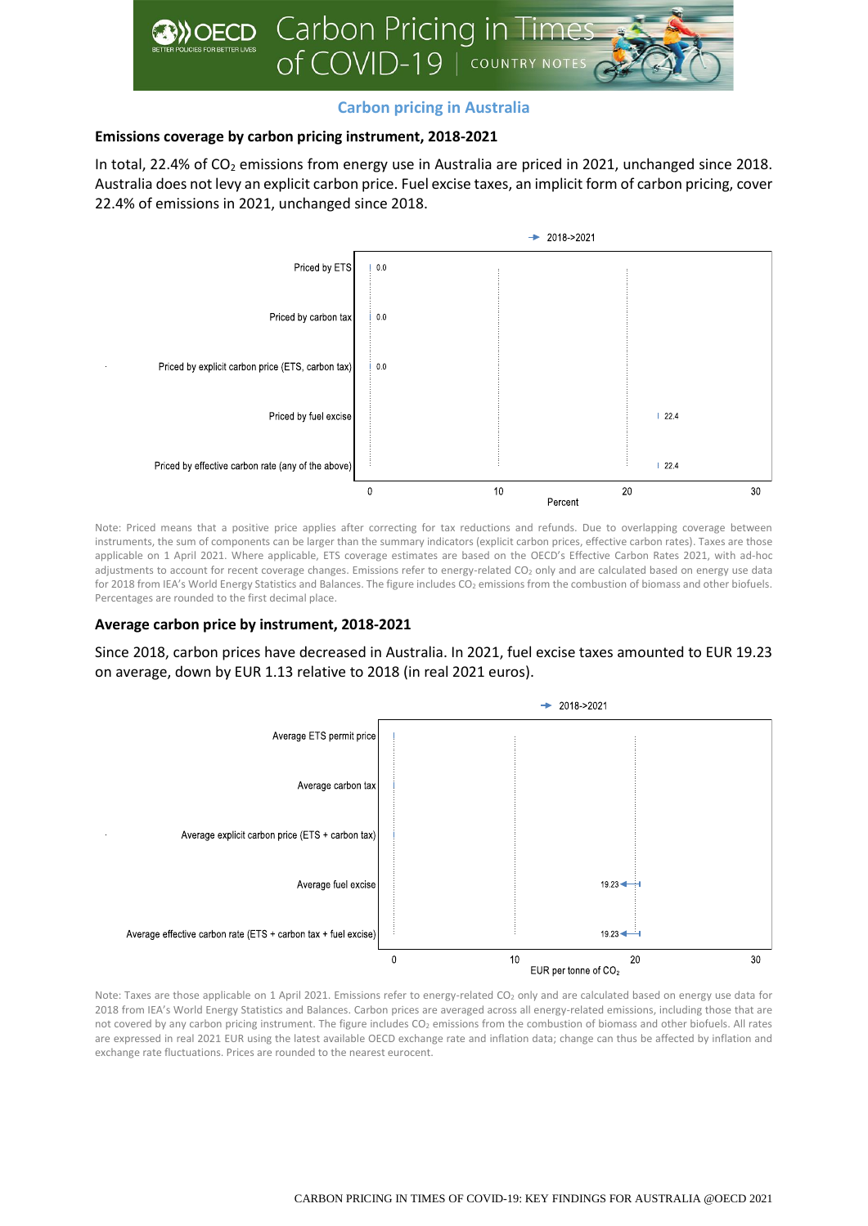

# **Carbon pricing in Australia**

## **Emissions coverage by carbon pricing instrument, 2018-2021**

In total, 22.4% of  $CO<sub>2</sub>$  emissions from energy use in Australia are priced in 2021, unchanged since 2018. Australia does not levy an explicit carbon price. Fuel excise taxes, an implicit form of carbon pricing, cover 22.4% of emissions in 2021, unchanged since 2018.



Note: Priced means that a positive price applies after correcting for tax reductions and refunds. Due to overlapping coverage between instruments, the sum of components can be larger than the summary indicators (explicit carbon prices, effective carbon rates). Taxes are those applicable on 1 April 2021. Where applicable, ETS coverage estimates are based on the OECD's Effective Carbon Rates 2021, with ad-hoc adjustments to account for recent coverage changes. Emissions refer to energy-related CO<sub>2</sub> only and are calculated based on energy use data for 2018 from IEA's World Energy Statistics and Balances. The figure includes CO<sub>2</sub> emissions from the combustion of biomass and other biofuels. Percentages are rounded to the first decimal place.

#### **Average carbon price by instrument, 2018-2021**

Since 2018, carbon prices have decreased in Australia. In 2021, fuel excise taxes amounted to EUR 19.23 on average, down by EUR 1.13 relative to 2018 (in real 2021 euros).



Note: Taxes are those applicable on 1 April 2021. Emissions refer to energy-related CO<sub>2</sub> only and are calculated based on energy use data for 2018 from IEA's World Energy Statistics and Balances. Carbon prices are averaged across all energy-related emissions, including those that are not covered by any carbon pricing instrument. The figure includes CO<sub>2</sub> emissions from the combustion of biomass and other biofuels. All rates are expressed in real 2021 EUR using the latest available OECD exchange rate and inflation data; change can thus be affected by inflation and exchange rate fluctuations. Prices are rounded to the nearest eurocent.